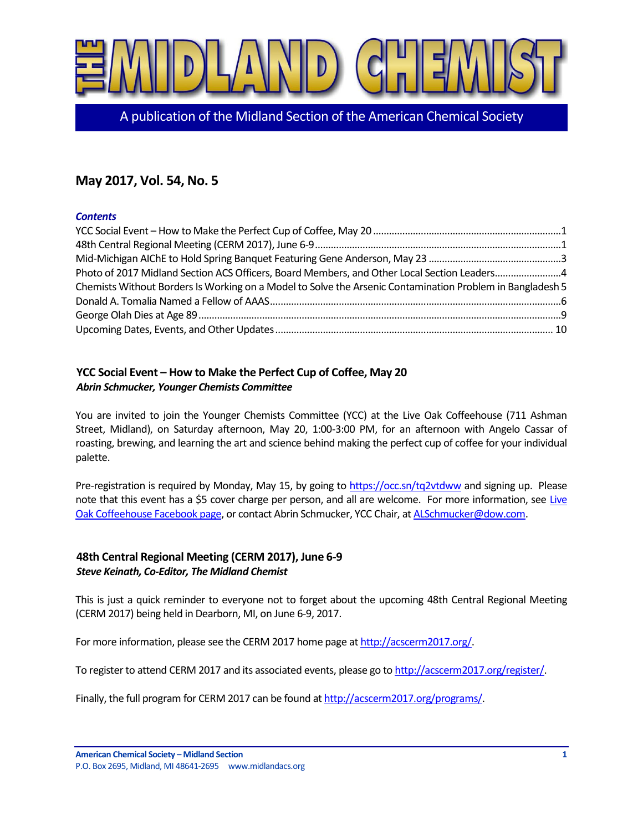

A publication of the Midland Section of the American Chemical Society

# **May 2017, Vol. 54, No. 5**

### *Contents*

| Photo of 2017 Midland Section ACS Officers, Board Members, and Other Local Section Leaders4               |  |
|-----------------------------------------------------------------------------------------------------------|--|
| Chemists Without Borders Is Working on a Model to Solve the Arsenic Contamination Problem in Bangladesh 5 |  |
|                                                                                                           |  |
|                                                                                                           |  |
|                                                                                                           |  |

## <span id="page-0-0"></span>**YCC Social Event – How to Make the Perfect Cup of Coffee, May 20** *Abrin Schmucker, Younger Chemists Committee*

You are invited to join the Younger Chemists Committee (YCC) at the Live Oak Coffeehouse (711 Ashman Street, Midland), on Saturday afternoon, May 20, 1:00-3:00 PM, for an afternoon with Angelo Cassar of roasting, brewing, and learning the art and science behind making the perfect cup of coffee for your individual palette.

Pre-registration is required by Monday, May 15, by going to<https://occ.sn/tq2vtdww> and signing up. Please note that this event has a \$5 cover charge per person, and all are welcome. For more information, see Live [Oak Coffeehouse Facebook page,](https://www.facebook.com/liveoakcoffeehouse) or contact Abrin Schmucker, YCC Chair, a[t ALSchmucker@dow.com.](mailto:ALSchmucker@dow.com)

## <span id="page-0-1"></span>**48th Central Regional Meeting (CERM 2017), June 6-9** *Steve Keinath, Co-Editor, The Midland Chemist*

This is just a quick reminder to everyone not to forget about the upcoming 48th Central Regional Meeting (CERM 2017) being held in Dearborn, MI, on June 6-9, 2017.

For more information, please see the CERM 2017 home page a[t http://acscerm2017.org/.](http://acscerm2017.org/)

To register to attend CERM 2017 and its associated events, please go t[o http://acscerm2017.org/register/.](http://acscerm2017.org/register/)

Finally, the full program for CERM 2017 can be found a[t http://acscerm2017.org/programs/.](http://acscerm2017.org/programs/)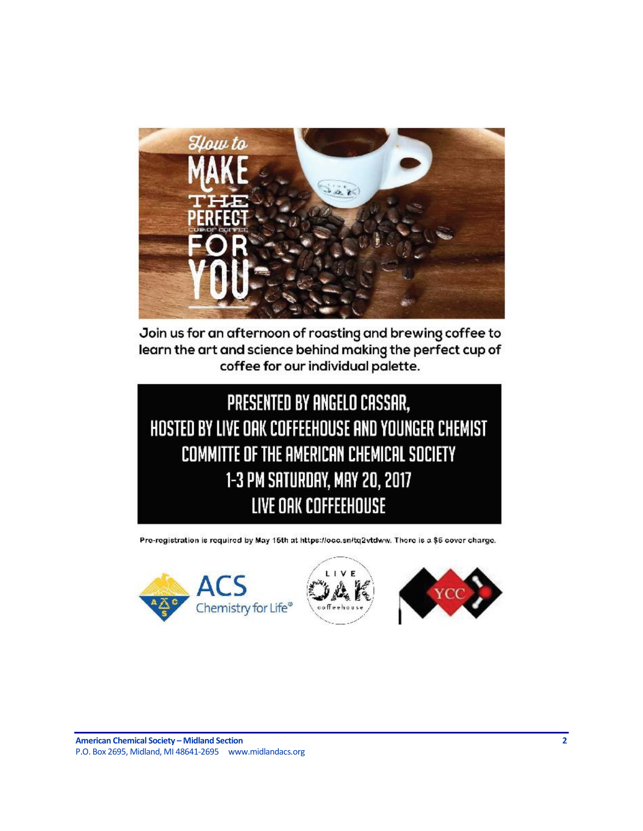

Join us for an afternoon of roasting and brewing coffee to learn the art and science behind making the perfect cup of coffee for our individual palette.



Pre-registration is required by May 15th at https://occ.sn/tq2vtdww. There is a \$6 cover charge.

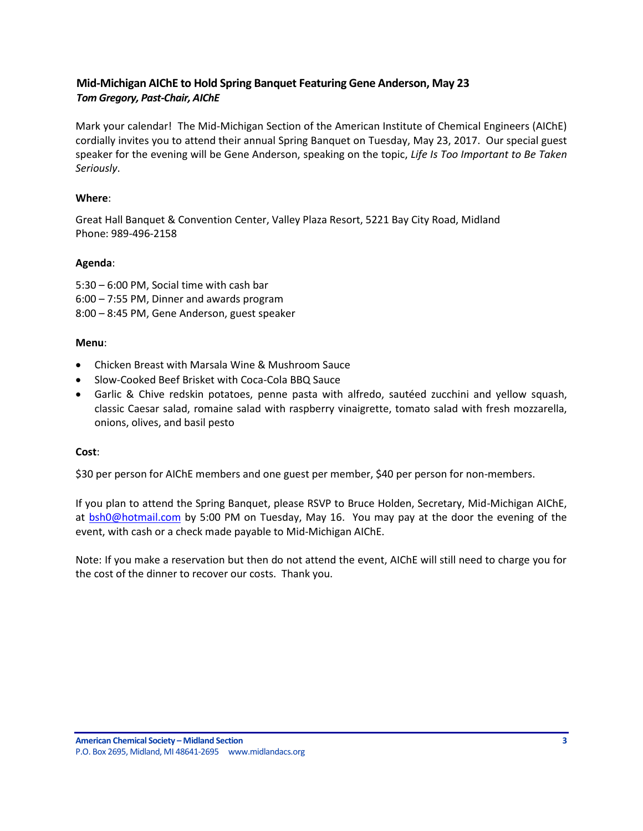## <span id="page-2-0"></span>**Mid-Michigan AIChE to Hold Spring Banquet Featuring Gene Anderson, May 23** *Tom Gregory, Past-Chair, AIChE*

Mark your calendar! The Mid-Michigan Section of the American Institute of Chemical Engineers (AIChE) cordially invites you to attend their annual Spring Banquet on Tuesday, May 23, 2017. Our special guest speaker for the evening will be Gene Anderson, speaking on the topic, *Life Is Too Important to Be Taken Seriously*.

### **Where**:

Great Hall Banquet & Convention Center, Valley Plaza Resort, 5221 Bay City Road, Midland Phone: 989-496-2158

### **Agenda**:

5:30 – 6:00 PM, Social time with cash bar 6:00 – 7:55 PM, Dinner and awards program 8:00 – 8:45 PM, Gene Anderson, guest speaker

#### **Menu**:

- Chicken Breast with Marsala Wine & Mushroom Sauce
- Slow-Cooked Beef Brisket with Coca-Cola BBQ Sauce
- Garlic & Chive redskin potatoes, penne pasta with alfredo, sautéed zucchini and yellow squash, classic Caesar salad, romaine salad with raspberry vinaigrette, tomato salad with fresh mozzarella, onions, olives, and basil pesto

#### **Cost**:

\$30 per person for AIChE members and one guest per member, \$40 per person for non-members.

If you plan to attend the Spring Banquet, please RSVP to Bruce Holden, Secretary, Mid-Michigan AIChE, at [bsh0@hotmail.com](mailto:bsh0@hotmail.com) by 5:00 PM on Tuesday, May 16. You may pay at the door the evening of the event, with cash or a check made payable to Mid-Michigan AIChE.

Note: If you make a reservation but then do not attend the event, AIChE will still need to charge you for the cost of the dinner to recover our costs. Thank you.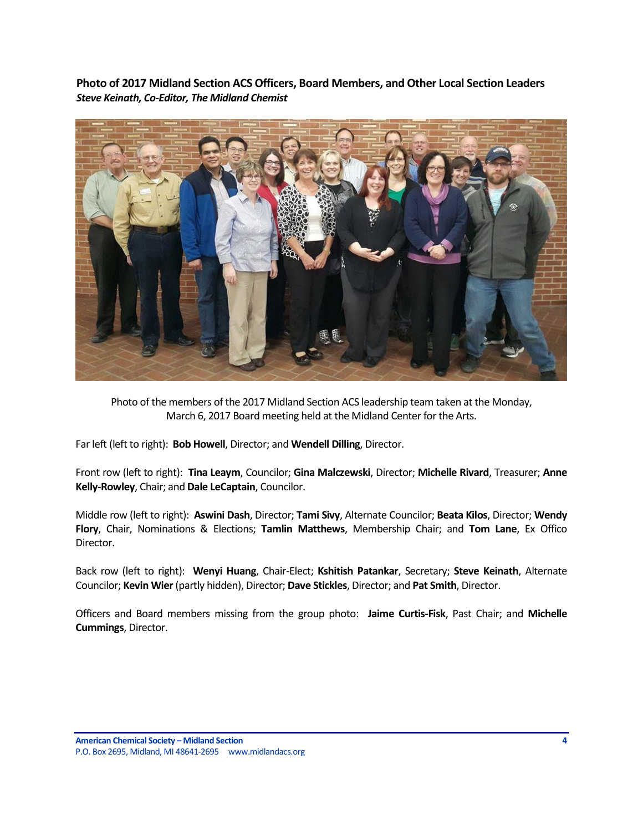<span id="page-3-0"></span>**Photo of 2017 Midland Section ACS Officers, Board Members, and Other Local Section Leaders** *Steve Keinath, Co-Editor, The Midland Chemist*



Photo of the members of the 2017 Midland Section ACS leadership team taken at the Monday, March 6, 2017 Board meeting held at the Midland Center for the Arts.

Far left (left to right): **Bob Howell**, Director; and **Wendell Dilling**, Director.

Front row (left to right): **Tina Leaym**, Councilor; **Gina Malczewski**, Director; **Michelle Rivard**, Treasurer; **Anne Kelly-Rowley**, Chair; and **Dale LeCaptain**, Councilor.

Middle row (left to right): **Aswini Dash**, Director; **Tami Sivy**, Alternate Councilor; **Beata Kilos**, Director; **Wendy Flory**, Chair, Nominations & Elections; **Tamlin Matthews**, Membership Chair; and **Tom Lane**, Ex Offico Director.

Back row (left to right): **Wenyi Huang**, Chair-Elect; **Kshitish Patankar**, Secretary; **Steve Keinath**, Alternate Councilor; **Kevin Wier**(partly hidden), Director; **Dave Stickles**, Director; and **Pat Smith**, Director.

Officers and Board members missing from the group photo: **Jaime Curtis-Fisk**, Past Chair; and **Michelle Cummings**, Director.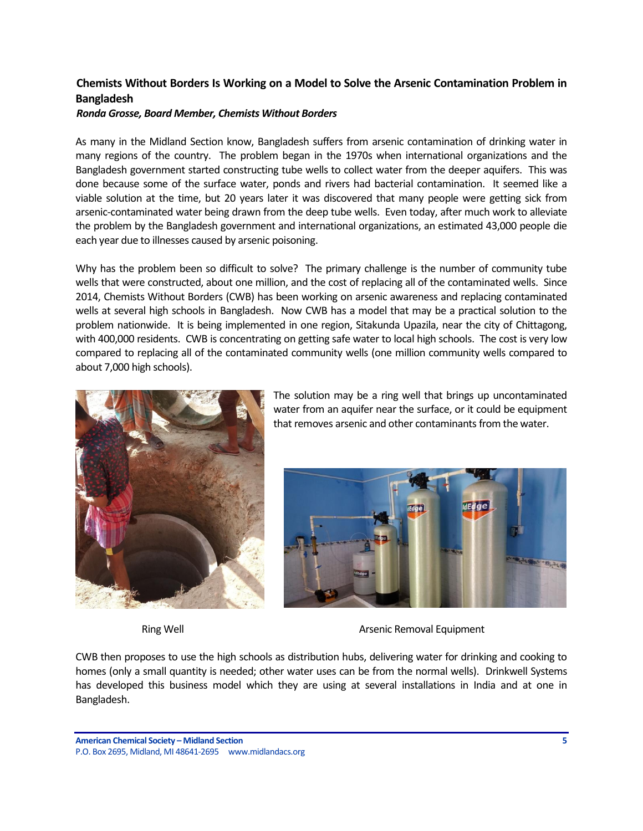## <span id="page-4-0"></span>**Chemists Without Borders Is Working on a Model to Solve the Arsenic Contamination Problem in Bangladesh**

#### *Ronda Grosse, Board Member, Chemists Without Borders*

As many in the Midland Section know, Bangladesh suffers from arsenic contamination of drinking water in many regions of the country. The problem began in the 1970s when international organizations and the Bangladesh government started constructing tube wells to collect water from the deeper aquifers. This was done because some of the surface water, ponds and rivers had bacterial contamination. It seemed like a viable solution at the time, but 20 years later it was discovered that many people were getting sick from arsenic-contaminated water being drawn from the deep tube wells. Even today, after much work to alleviate the problem by the Bangladesh government and international organizations, an estimated 43,000 people die each year due to illnesses caused by arsenic poisoning.

Why has the problem been so difficult to solve? The primary challenge is the number of community tube wells that were constructed, about one million, and the cost of replacing all of the contaminated wells. Since 2014, Chemists Without Borders (CWB) has been working on arsenic awareness and replacing contaminated wells at several high schools in Bangladesh. Now CWB has a model that may be a practical solution to the problem nationwide. It is being implemented in one region, Sitakunda Upazila, near the city of Chittagong, with 400,000 residents. CWB is concentrating on getting safe water to local high schools. The cost is very low compared to replacing all of the contaminated community wells (one million community wells compared to about 7,000 high schools).



The solution may be a ring well that brings up uncontaminated water from an aquifer near the surface, or it could be equipment that removes arsenic and other contaminants from the water.



Ring Well **Arsenic Removal Equipment** 

CWB then proposes to use the high schools as distribution hubs, delivering water for drinking and cooking to homes (only a small quantity is needed; other water uses can be from the normal wells). Drinkwell Systems has developed this business model which they are using at several installations in India and at one in Bangladesh.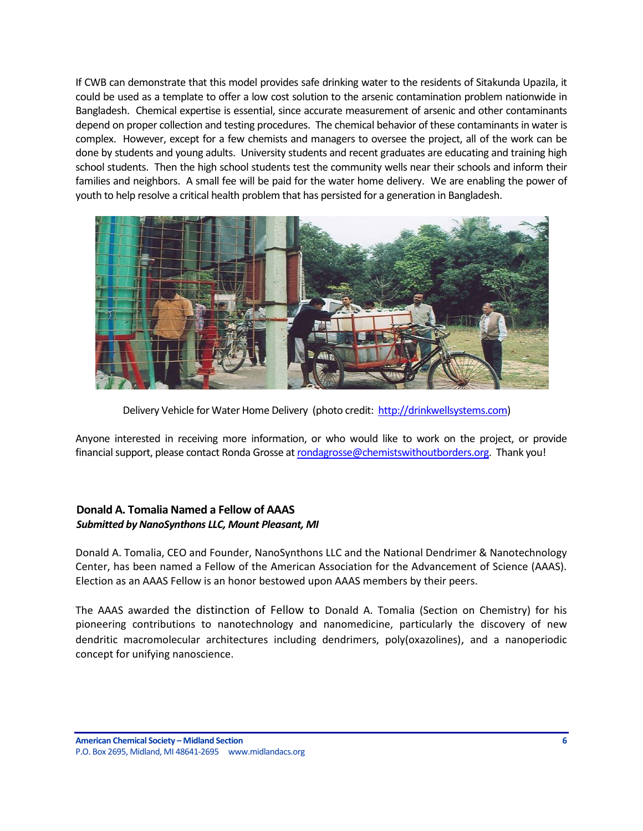If CWB can demonstrate that this model provides safe drinking water to the residents of Sitakunda Upazila, it could be used as a template to offer a low cost solution to the arsenic contamination problem nationwide in Bangladesh. Chemical expertise is essential, since accurate measurement of arsenic and other contaminants depend on proper collection and testing procedures. The chemical behavior of these contaminants in water is complex. However, except for a few chemists and managers to oversee the project, all of the work can be done by students and young adults. University students and recent graduates are educating and training high school students. Then the high school students test the community wells near their schools and inform their families and neighbors. A small fee will be paid for the water home delivery. We are enabling the power of youth to help resolve a critical health problem that has persisted for a generation in Bangladesh.



Delivery Vehicle for Water Home Delivery (photo credit: [http://drinkwellsystems.com\)](http://drinkwellsystems.com/)

Anyone interested in receiving more information, or who would like to work on the project, or provide financial support, please contact Ronda Grosse a[t rondagrosse@chemistswithoutborders.org.](mailto:rondagrosse@chemistswithoutborders.org) Thank you!

### <span id="page-5-0"></span>**Donald A. Tomalia Named a Fellow of AAAS** *Submitted by NanoSynthons LLC, Mount Pleasant, MI*

Donald A. Tomalia, CEO and Founder, NanoSynthons LLC and the National Dendrimer & Nanotechnology Center, has been named a Fellow of the American Association for the Advancement of Science (AAAS). Election as an AAAS Fellow is an honor bestowed upon AAAS members by their peers.

The AAAS awarded the distinction of Fellow to Donald A. Tomalia (Section on Chemistry) for his pioneering contributions to nanotechnology and nanomedicine, particularly the discovery of new dendritic macromolecular architectures including dendrimers, poly(oxazolines), and a nanoperiodic concept for unifying nanoscience.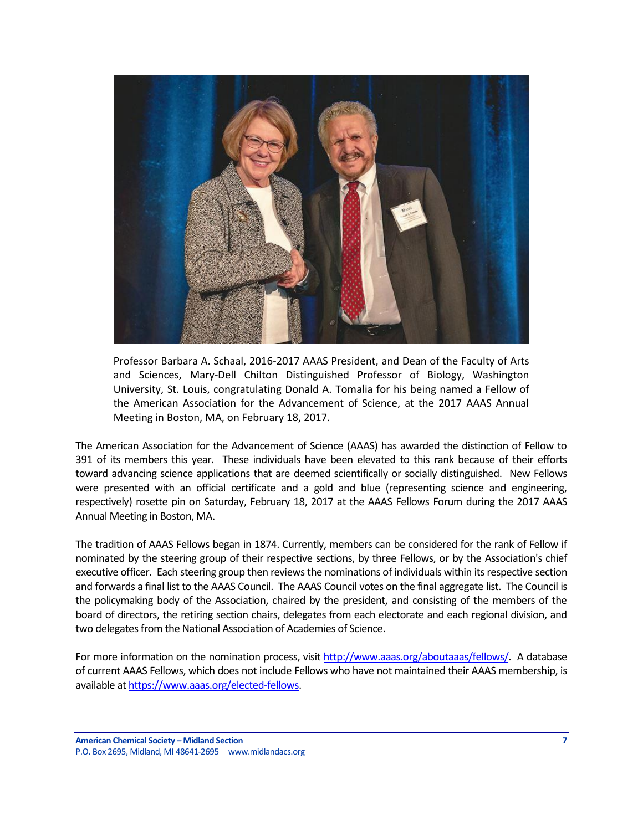

Professor Barbara A. Schaal, 2016-2017 AAAS President, and Dean of the Faculty of Arts and Sciences, Mary-Dell Chilton Distinguished Professor of Biology, Washington University, St. Louis, congratulating Donald A. Tomalia for his being named a Fellow of the American Association for the Advancement of Science, at the 2017 AAAS Annual Meeting in Boston, MA, on February 18, 2017.

The American Association for the Advancement of Science (AAAS) has awarded the distinction of Fellow to 391 of its members this year. These individuals have been elevated to this rank because of their efforts toward advancing science applications that are deemed scientifically or socially distinguished. New Fellows were presented with an official certificate and a gold and blue (representing science and engineering, respectively) rosette pin on Saturday, February 18, 2017 at the AAAS Fellows Forum during the 2017 AAAS Annual Meeting in Boston, MA.

The tradition of AAAS Fellows began in 1874. Currently, members can be considered for the rank of Fellow if nominated by the steering group of their respective sections, by three Fellows, or by the Association's chief executive officer. Each steering group then reviews the nominations of individuals within its respective section and forwards a final list to the AAAS Council. The AAAS Council votes on the final aggregate list. The Council is the policymaking body of the Association, chaired by the president, and consisting of the members of the board of directors, the retiring section chairs, delegates from each electorate and each regional division, and two delegates from the National Association of Academies of Science.

For more information on the nomination process, visit [http://www.aaas.org/aboutaaas/fellows/.](http://www.aaas.org/aboutaaas/fellows/) A database of current AAAS Fellows, which does not include Fellows who have not maintained their AAAS membership, is available a[t https://www.aaas.org/elected-fellows.](https://www.aaas.org/elected-fellows)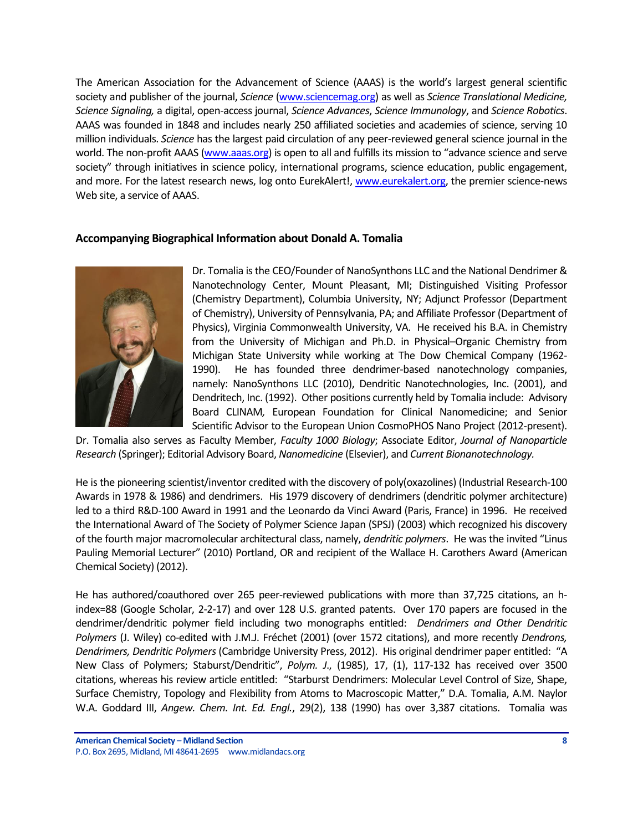The American Association for the Advancement of Science (AAAS) is the world's largest general scientific society and publisher of the journal, *Science* [\(www.sciencemag.org\)](http://www.sciencemag.org/) as well as *Science Translational Medicine, Science Signaling,* a digital, open-access journal, *Science Advances*, *Science Immunology*, and *Science Robotics*. AAAS was founded in 1848 and includes nearly 250 affiliated societies and academies of science, serving 10 million individuals. *Science* has the largest paid circulation of any peer-reviewed general science journal in the world. The non-profit AAAS [\(www.aaas.org](http://www.aaas.org/)) is open to all and fulfills its mission to "advance science and serve society" through initiatives in science policy, international programs, science education, public engagement, and more. For the latest research news, log onto EurekAlert!, [www.eurekalert.org,](http://www.eurekalert.org/) the premier science-news Web site, a service of AAAS.

#### **Accompanying Biographical Information about Donald A. Tomalia**



Dr. Tomalia is the CEO/Founder of NanoSynthons LLC and the National Dendrimer & Nanotechnology Center, Mount Pleasant, MI; Distinguished Visiting Professor (Chemistry Department), Columbia University, NY; Adjunct Professor (Department of Chemistry), University of Pennsylvania, PA; and Affiliate Professor (Department of Physics), Virginia Commonwealth University, VA. He received his B.A. in Chemistry from the University of Michigan and Ph.D. in Physical–Organic Chemistry from Michigan State University while working at The Dow Chemical Company (1962- 1990). He has founded three dendrimer-based nanotechnology companies, namely: NanoSynthons LLC (2010), Dendritic Nanotechnologies, Inc. (2001), and Dendritech, Inc. (1992). Other positions currently held by Tomalia include: Advisory Board CLINAM*,* European Foundation for Clinical Nanomedicine; and Senior Scientific Advisor to the European Union CosmoPHOS Nano Project (2012-present).

Dr. Tomalia also serves as Faculty Member, *Faculty 1000 Biology*; Associate Editor, *Journal of Nanoparticle Research* (Springer); Editorial Advisory Board, *Nanomedicine* (Elsevier), and *Current Bionanotechnology.*

He is the pioneering scientist/inventor credited with the discovery of poly(oxazolines) (Industrial Research-100 Awards in 1978 & 1986) and dendrimers. His 1979 discovery of dendrimers (dendritic polymer architecture) led to a third R&D-100 Award in 1991 and the Leonardo da Vinci Award (Paris, France) in 1996. He received the International Award of The Society of Polymer Science Japan (SPSJ) (2003) which recognized his discovery of the fourth major macromolecular architectural class, namely, *dendritic polymers*. He was the invited "Linus Pauling Memorial Lecturer" (2010) Portland, OR and recipient of the Wallace H. Carothers Award (American Chemical Society) (2012).

He has authored/coauthored over 265 peer-reviewed publications with more than 37,725 citations, an hindex=88 (Google Scholar, 2-2-17) and over 128 U.S. granted patents. Over 170 papers are focused in the dendrimer/dendritic polymer field including two monographs entitled: *Dendrimers and Other Dendritic Polymers* (J. Wiley) co-edited with J.M.J. Fréchet (2001) (over 1572 citations), and more recently *Dendrons, Dendrimers, Dendritic Polymers* (Cambridge University Press, 2012). His original dendrimer paper entitled: "A New Class of Polymers; Staburst/Dendritic", *Polym. J*., (1985), 17, (1), 117-132 has received over 3500 citations, whereas his review article entitled: "Starburst Dendrimers: Molecular Level Control of Size, Shape, Surface Chemistry, Topology and Flexibility from Atoms to Macroscopic Matter," D.A. Tomalia, A.M. Naylor W.A. Goddard III, *Angew. Chem. Int. Ed. Engl.*, 29(2), 138 (1990) has over 3,387 citations. Tomalia was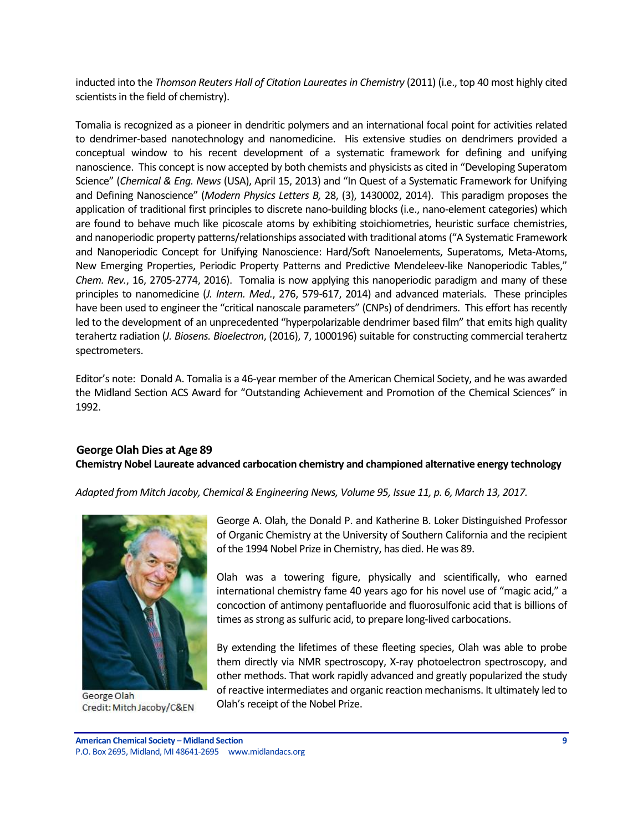inducted into the *Thomson Reuters Hall of Citation Laureates in Chemistry* (2011) (i.e., top 40 most highly cited scientists in the field of chemistry).

Tomalia is recognized as a pioneer in dendritic polymers and an international focal point for activities related to dendrimer-based nanotechnology and nanomedicine. His extensive studies on dendrimers provided a conceptual window to his recent development of a systematic framework for defining and unifying nanoscience. This concept is now accepted by both chemists and physicists as cited in "Developing Superatom Science" (*Chemical & Eng. News* (USA), April 15, 2013) and "In Quest of a Systematic Framework for Unifying and Defining Nanoscience" (*Modern Physics Letters B,* 28, (3), 1430002, 2014). This paradigm proposes the application of traditional first principles to discrete nano-building blocks (i.e., nano-element categories) which are found to behave much like picoscale atoms by exhibiting stoichiometries, heuristic surface chemistries, and nanoperiodic property patterns/relationships associated with traditional atoms ("A Systematic Framework and Nanoperiodic Concept for Unifying Nanoscience: Hard/Soft Nanoelements, Superatoms, Meta-Atoms, New Emerging Properties, Periodic Property Patterns and Predictive Mendeleev-like Nanoperiodic Tables," *Chem. Rev.*, 16, 2705-2774, 2016). Tomalia is now applying this nanoperiodic paradigm and many of these principles to nanomedicine (*J. Intern. Med.*, 276, 579-617, 2014) and advanced materials. These principles have been used to engineer the "critical nanoscale parameters" (CNPs) of dendrimers. This effort has recently led to the development of an unprecedented "hyperpolarizable dendrimer based film" that emits high quality terahertz radiation (*J. Biosens. Bioelectron*, (2016), 7, 1000196) suitable for constructing commercial terahertz spectrometers.

Editor's note: Donald A. Tomalia is a 46-year member of the American Chemical Society, and he was awarded the Midland Section ACS Award for "Outstanding Achievement and Promotion of the Chemical Sciences" in 1992.

## <span id="page-8-0"></span>**George Olah Dies at Age 89**

**Chemistry Nobel Laureate advanced carbocation chemistry and championed alternative energy technology**

*Adapted from Mitch Jacoby, Chemical & Engineering News, Volume 95, Issue 11, p. 6, March 13, 2017.*



George Olah Credit: Mitch Jacoby/C&EN

George A. Olah, the Donald P. and Katherine B. Loker Distinguished Professor of Organic Chemistry at the University of Southern California and the recipient of the 1994 Nobel Prize in Chemistry, has died. He was 89.

Olah was a towering figure, physically and scientifically, who earned international chemistry fame 40 years ago for his novel use of "magic acid," a concoction of antimony pentafluoride and fluorosulfonic acid that is billions of times as strong as sulfuric acid, to prepare long-lived carbocations.

By extending the lifetimes of these fleeting species, Olah was able to probe them directly via NMR spectroscopy, X-ray photoelectron spectroscopy, and other methods. That work rapidly advanced and greatly popularized the study of reactive intermediates and organic reaction mechanisms. It ultimately led to Olah's receipt of the Nobel Prize.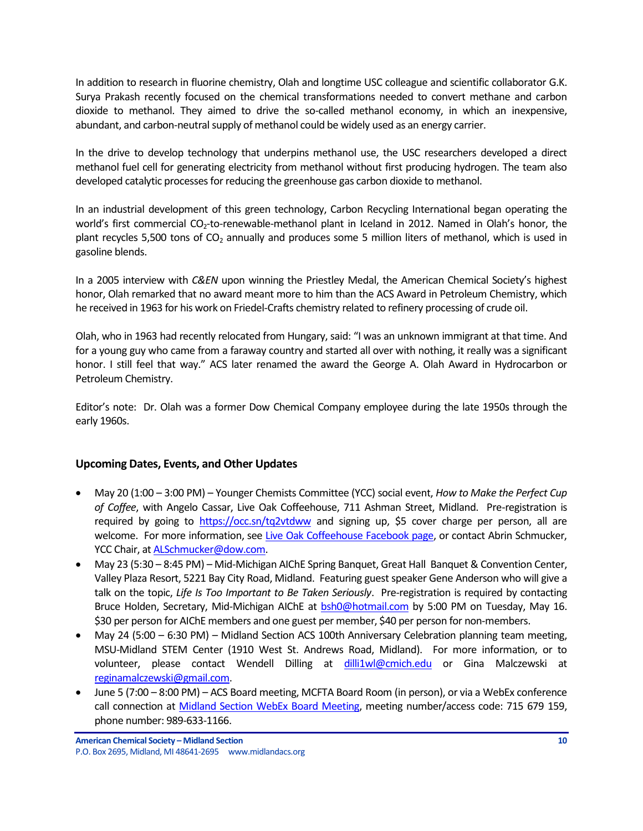In addition to research in fluorine chemistry, Olah and longtime USC colleague and scientific collaborator [G.K.](http://chem.usc.edu/faculty/Prakash.html)  [Surya Prakash](http://chem.usc.edu/faculty/Prakash.html) recently focused on the chemical transformations needed to convert methane and carbon dioxide to methanol. They aimed to drive the so-called methanol economy, in which an inexpensive, abundant, and carbon-neutral supply of methanol could be widely used as an energy carrier.

In the drive to develop technology that underpins methanol use, the USC researchers developed a direct methanol fuel cell for generating electricity from methanol without first producing hydrogen. The team also developed catalytic processes for reducing the greenhouse gas carbon dioxide to methanol.

In an industrial development of this green technology, [Carbon Recycling International](http://www.carbonrecycling.is/) began operating the world's first commercial CO<sub>2</sub>-to-renewable-methanol plant in Iceland in 2012. Named in Olah's honor, the plant recycles 5,500 tons of  $CO<sub>2</sub>$  annually and produces some 5 million liters of methanol, which is used in gasoline blends.

In a 2005 interview with *C&EN* upon winning the [Priestley Medal](http://pubs.acs.org/isubscribe/journals/cen/83/i11/html/8311georgeolah.html), the American Chemical Society's highest honor, Olah remarked that no award meant more to him than the ACS Award in Petroleum Chemistry, which he received in 1963 for his work on Friedel-Crafts chemistry related to refinery processing of crude oil.

Olah, who in 1963 had recently relocated from Hungary, said: "I was an unknown immigrant at that time. And for a young guy who came from a faraway country and started all over with nothing, it really was a significant honor. I still feel that way." ACS later renamed the award the [George A. Olah](http://chem.usc.edu/faculty/Olah.html) Award in Hydrocarbon or Petroleum Chemistry.

Editor's note: Dr. Olah was a former Dow Chemical Company employee during the late 1950s through the early 1960s.

## <span id="page-9-0"></span>**Upcoming Dates, Events, and Other Updates**

- May 20 (1:00 3:00 PM) Younger Chemists Committee (YCC) social event, *How to Make the Perfect Cup of Coffee*, with Angelo Cassar, Live Oak Coffeehouse, 711 Ashman Street, Midland. Pre-registration is required by going to <https://occ.sn/tq2vtdww> and signing up, \$5 cover charge per person, all are welcome. For more information, see [Live Oak Coffeehouse Facebook page,](https://www.facebook.com/liveoakcoffeehouse) or contact Abrin Schmucker, YCC Chair, a[t ALSchmucker@dow.com.](mailto:ALSchmucker@dow.com)
- May 23 (5:30 8:45 PM) Mid-Michigan AIChE Spring Banquet, Great Hall Banquet & Convention Center, Valley Plaza Resort, 5221 Bay City Road, Midland. Featuring guest speaker Gene Anderson who will give a talk on the topic, *Life Is Too Important to Be Taken Seriously*. Pre-registration is required by contacting Bruce Holden, Secretary, Mid-Michigan AIChE at [bsh0@hotmail.com](mailto:bsh0@hotmail.com) by 5:00 PM on Tuesday, May 16. \$30 per person for AIChE members and one guest per member, \$40 per person for non-members.
- May 24 (5:00 6:30 PM) Midland Section ACS 100th Anniversary Celebration planning team meeting, MSU-Midland STEM Center (1910 West St. Andrews Road, Midland). For more information, or to volunteer, please contact Wendell Dilling at [dilli1wl@cmich.edu](mailto:dilli1wl@cmich.edu) or Gina Malczewski at [reginamalczewski@gmail.com.](mailto:reginamalczewski@gmail.com)
- June 5 (7:00 8:00 PM) ACS Board meeting, MCFTA Board Room (in person), or via a WebEx conference call connection at [Midland Section WebEx Board Meeting,](https://dow.webex.com/mw3000/mywebex/default.do?service=1&main_url=%2Fmc3000%2Fe.do%3Fsiteurl%3Ddow%26AT%3DMI%26EventID%3D538213622%26MTID%3Dm6bd6812daaa9d053419d46f18be71c21%26Host%3DQUhTSwAAAAPRH17xdc850TNaqrXu82wV-x3jpjs_D1dcXCIzwwarRBsk7pqoTNERtE0mHQqtuB7HjPq8_OGpd7FHFnEY78fm0%26FrameSet%3D2&siteurl=dow&nomenu=true) meeting number/access code: 715 679 159, phone number: 989-633-1166.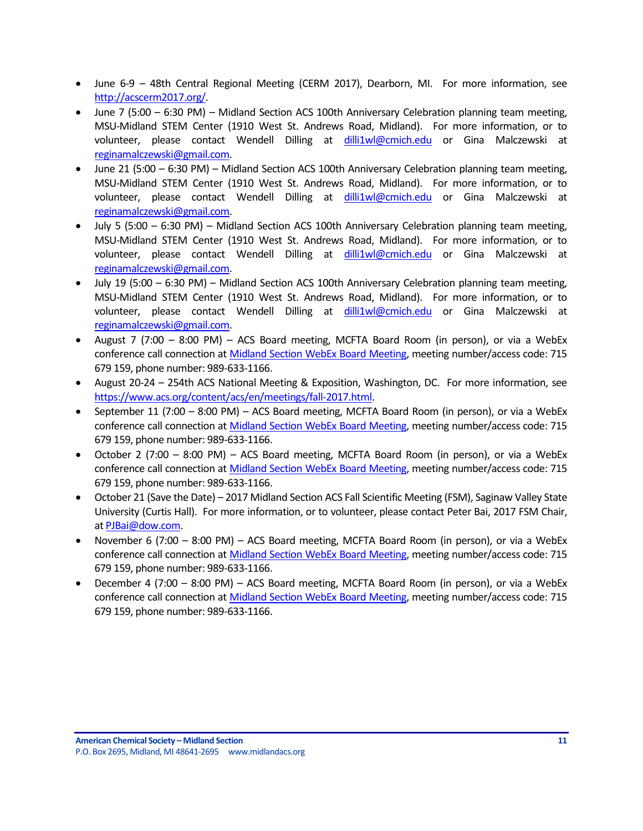- June 6-9 48th Central Regional Meeting (CERM 2017), Dearborn, MI. For more information, see [http://acscerm2017.org/.](http://acscerm2017.org/)
- June 7 (5:00 6:30 PM) Midland Section ACS 100th Anniversary Celebration planning team meeting, MSU-Midland STEM Center (1910 West St. Andrews Road, Midland). For more information, or to volunteer, please contact Wendell Dilling at [dilli1wl@cmich.edu](mailto:dilli1wl@cmich.edu) or Gina Malczewski at [reginamalczewski@gmail.com.](mailto:reginamalczewski@gmail.com)
- June 21 (5:00 6:30 PM) Midland Section ACS 100th Anniversary Celebration planning team meeting, MSU-Midland STEM Center (1910 West St. Andrews Road, Midland). For more information, or to volunteer, please contact Wendell Dilling at [dilli1wl@cmich.edu](mailto:dilli1wl@cmich.edu) or Gina Malczewski at [reginamalczewski@gmail.com.](mailto:reginamalczewski@gmail.com)
- July 5 (5:00 6:30 PM) Midland Section ACS 100th Anniversary Celebration planning team meeting, MSU-Midland STEM Center (1910 West St. Andrews Road, Midland). For more information, or to volunteer, please contact Wendell Dilling at [dilli1wl@cmich.edu](mailto:dilli1wl@cmich.edu) or Gina Malczewski at [reginamalczewski@gmail.com.](mailto:reginamalczewski@gmail.com)
- July 19 (5:00 6:30 PM) Midland Section ACS 100th Anniversary Celebration planning team meeting, MSU-Midland STEM Center (1910 West St. Andrews Road, Midland). For more information, or to volunteer, please contact Wendell Dilling at [dilli1wl@cmich.edu](mailto:dilli1wl@cmich.edu) or Gina Malczewski at [reginamalczewski@gmail.com.](mailto:reginamalczewski@gmail.com)
- August 7 (7:00 8:00 PM) ACS Board meeting, MCFTA Board Room (in person), or via a WebEx conference call connection a[t Midland Section WebEx Board Meeting,](https://dow.webex.com/mw3000/mywebex/default.do?service=1&main_url=%2Fmc3000%2Fe.do%3Fsiteurl%3Ddow%26AT%3DMI%26EventID%3D538213622%26MTID%3Dm6bd6812daaa9d053419d46f18be71c21%26Host%3DQUhTSwAAAAPRH17xdc850TNaqrXu82wV-x3jpjs_D1dcXCIzwwarRBsk7pqoTNERtE0mHQqtuB7HjPq8_OGpd7FHFnEY78fm0%26FrameSet%3D2&siteurl=dow&nomenu=true) meeting number/access code: 715 679 159, phone number: 989-633-1166.
- August 20-24 254th ACS National Meeting & Exposition, Washington, DC. For more information, see [https://www.acs.org/content/acs/en/meetings/fall-2017.html.](https://www.acs.org/content/acs/en/meetings/fall-2017.html)
- September 11 (7:00 8:00 PM) ACS Board meeting, MCFTA Board Room (in person), or via a WebEx conference call connection a[t Midland Section WebEx Board Meeting,](https://dow.webex.com/mw3000/mywebex/default.do?service=1&main_url=%2Fmc3000%2Fe.do%3Fsiteurl%3Ddow%26AT%3DMI%26EventID%3D538213622%26MTID%3Dm6bd6812daaa9d053419d46f18be71c21%26Host%3DQUhTSwAAAAPRH17xdc850TNaqrXu82wV-x3jpjs_D1dcXCIzwwarRBsk7pqoTNERtE0mHQqtuB7HjPq8_OGpd7FHFnEY78fm0%26FrameSet%3D2&siteurl=dow&nomenu=true) meeting number/access code: 715 679 159, phone number: 989-633-1166.
- October 2 (7:00 8:00 PM) ACS Board meeting, MCFTA Board Room (in person), or via a WebEx conference call connection a[t Midland Section WebEx Board Meeting,](https://dow.webex.com/mw3000/mywebex/default.do?service=1&main_url=%2Fmc3000%2Fe.do%3Fsiteurl%3Ddow%26AT%3DMI%26EventID%3D538213622%26MTID%3Dm6bd6812daaa9d053419d46f18be71c21%26Host%3DQUhTSwAAAAPRH17xdc850TNaqrXu82wV-x3jpjs_D1dcXCIzwwarRBsk7pqoTNERtE0mHQqtuB7HjPq8_OGpd7FHFnEY78fm0%26FrameSet%3D2&siteurl=dow&nomenu=true) meeting number/access code: 715 679 159, phone number: 989-633-1166.
- October 21 (Save the Date) 2017 Midland Section ACS Fall Scientific Meeting (FSM), Saginaw Valley State University (Curtis Hall). For more information, or to volunteer, please contact Peter Bai, 2017 FSM Chair, a[t PJBai@dow.com.](mailto:PJBai@dow.com)
- November 6 (7:00 8:00 PM) ACS Board meeting, MCFTA Board Room (in person), or via a WebEx conference call connection a[t Midland Section WebEx Board Meeting,](https://dow.webex.com/mw3000/mywebex/default.do?service=1&main_url=%2Fmc3000%2Fe.do%3Fsiteurl%3Ddow%26AT%3DMI%26EventID%3D538213622%26MTID%3Dm6bd6812daaa9d053419d46f18be71c21%26Host%3DQUhTSwAAAAPRH17xdc850TNaqrXu82wV-x3jpjs_D1dcXCIzwwarRBsk7pqoTNERtE0mHQqtuB7HjPq8_OGpd7FHFnEY78fm0%26FrameSet%3D2&siteurl=dow&nomenu=true) meeting number/access code: 715 679 159, phone number: 989-633-1166.
- December 4 (7:00 8:00 PM) ACS Board meeting, MCFTA Board Room (in person), or via a WebEx conference call connection a[t Midland Section WebEx Board Meeting,](https://dow.webex.com/mw3000/mywebex/default.do?service=1&main_url=%2Fmc3000%2Fe.do%3Fsiteurl%3Ddow%26AT%3DMI%26EventID%3D538213622%26MTID%3Dm6bd6812daaa9d053419d46f18be71c21%26Host%3DQUhTSwAAAAPRH17xdc850TNaqrXu82wV-x3jpjs_D1dcXCIzwwarRBsk7pqoTNERtE0mHQqtuB7HjPq8_OGpd7FHFnEY78fm0%26FrameSet%3D2&siteurl=dow&nomenu=true) meeting number/access code: 715 679 159, phone number: 989-633-1166.